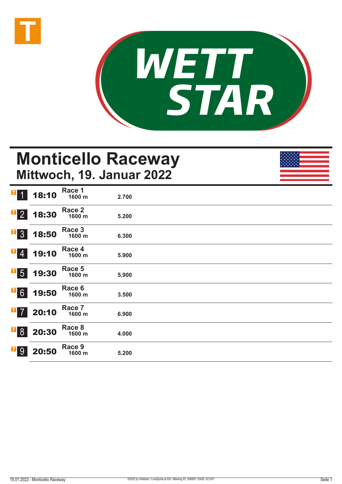



# **Monticello Raceway Mittwoch, 19. Januar 2022**

| $\mathbf{I}$<br>$\vert$ 1      | 18:10 | Race 1<br>1600 m | 2.700 |  |  |
|--------------------------------|-------|------------------|-------|--|--|
| $\overline{1}$ 2               | 18:30 | Race 2<br>1600 m | 5.200 |  |  |
| $\overline{1}$ 3               | 18:50 | Race 3<br>1600 m | 6.300 |  |  |
| $\mathbf{T}$<br>$\overline{4}$ | 19:10 | Race 4<br>1600 m | 5.900 |  |  |
| $\overline{\phantom{0}}$ 5     | 19:30 | Race 5<br>1600 m | 5.900 |  |  |
| $\overline{1}6$                | 19:50 | Race 6<br>1600 m | 3.500 |  |  |
| П<br>$\overline{7}$            | 20:10 | Race 7<br>1600 m | 6.900 |  |  |
| $\overline{1}8$                | 20:30 | Race 8<br>1600 m | 4.000 |  |  |
| $\mathbf{T}$<br>9              | 20:50 | Race 9<br>1600 m | 5.200 |  |  |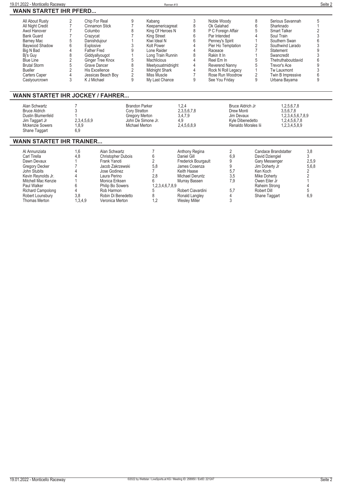| 19.01.2022 - Monticello Raceway                                                                                                                                                                                                                |                                                                                                                                                     |                                                                                                                                                                                                             |                                                                                                         | Rennen#9                                                                                                                                                                                                               |                                                                                                                                                                                         |                                                                                                                                                                                                                                |                                                                                                |                                                                                                                                                                                                                        | Seite 2                                                            |
|------------------------------------------------------------------------------------------------------------------------------------------------------------------------------------------------------------------------------------------------|-----------------------------------------------------------------------------------------------------------------------------------------------------|-------------------------------------------------------------------------------------------------------------------------------------------------------------------------------------------------------------|---------------------------------------------------------------------------------------------------------|------------------------------------------------------------------------------------------------------------------------------------------------------------------------------------------------------------------------|-----------------------------------------------------------------------------------------------------------------------------------------------------------------------------------------|--------------------------------------------------------------------------------------------------------------------------------------------------------------------------------------------------------------------------------|------------------------------------------------------------------------------------------------|------------------------------------------------------------------------------------------------------------------------------------------------------------------------------------------------------------------------|--------------------------------------------------------------------|
| <b>WANN STARTET IHR PFERD</b>                                                                                                                                                                                                                  |                                                                                                                                                     |                                                                                                                                                                                                             |                                                                                                         |                                                                                                                                                                                                                        |                                                                                                                                                                                         |                                                                                                                                                                                                                                |                                                                                                |                                                                                                                                                                                                                        |                                                                    |
| All About Rusty<br>All Night Credit<br>Awol Hanover<br><b>Bank Guard</b><br><b>Barney Mac</b><br>Baywood Shadow<br>Big N Bad<br>Bi's Guy<br><b>Blue Line</b><br><b>Brutal Storm</b><br><b>Bueller</b><br><b>Carters Caper</b><br>Castyourcrown | $\overline{2}$<br>$\overline{7}$<br>Columbo<br>Crazycat<br>6<br>Explosive<br>4<br>8<br>$\overline{c}$<br>5<br>$\overline{2}$<br>$\overline{4}$<br>3 | Chip For Real<br>Cinnamon Stick<br>Danishdujour<br><b>Father Fred</b><br>Giddyallyougot<br>Ginger Tree Knox<br>Grave Dancer<br>His Excellence<br>Jessicas Beach Boy<br>K J Michael                          | 9<br>$\overline{7}$<br>8<br>3<br>9<br>5<br>8<br>$\overline{2}$<br>$\overline{2}$<br>9                   | Kabang<br>Keepamericagreat<br>King Of Heroes N<br>King Street<br>Kiwi Ideal N<br>Kolt Power<br>Lone Raider<br>Long Train Runnin<br>Machlicious<br>Meetyouatmidnight<br>Midnight Shark<br>Miss Muscle<br>My Last Chance | 3<br>8<br>8<br>6<br>6<br>Δ<br>Δ<br>8<br>4<br>4<br>4<br>$\overline{7}$<br>9                                                                                                              | Noble Woody<br>Ok Galahad<br>P C Foreign Affair<br>Par Intended<br>Penney's Spirit<br>Pier Ho Temptation<br>Raceace<br>Rakin It In<br>Reel Em In<br>Reverend Nanny<br>Rock N Roll Legacy<br>Rose Run Woodrow<br>See You Fridav | 8<br>6<br>5<br>4<br>$\overline{2}$<br>7<br>5<br>5<br>$\mathbf{1}$<br>$\overline{2}$<br>9       | Serious Savannah<br>Sharknado<br>Smart Talker<br>Soul Train<br>Southern Swan<br>Southwind Larado<br>Statement<br>Swancredit<br>Thetruthaboutdavid<br>Trevor's Ace<br>Tw Lauxmont<br>Twin B Impressive<br>Urbana Bayama | 5<br>2<br>3<br>g<br>ĥ<br>9                                         |
| <b>WANN STARTET IHR JOCKEY / FAHRER</b>                                                                                                                                                                                                        |                                                                                                                                                     |                                                                                                                                                                                                             |                                                                                                         |                                                                                                                                                                                                                        |                                                                                                                                                                                         |                                                                                                                                                                                                                                |                                                                                                |                                                                                                                                                                                                                        |                                                                    |
| Alan Schwartz<br><b>Bruce Aldrich</b><br>Dustin Blumenfeld<br>Jim Taggart Jr<br>Mckenzie Sowers<br>Shane Taggart                                                                                                                               | 3<br>2,3,4,5,6,9<br>1,8,9<br>6,9                                                                                                                    |                                                                                                                                                                                                             | <b>Brandon Parker</b><br>Cory Stratton<br><b>Gregory Merton</b><br>John De Simone Jr.<br>Michael Merton |                                                                                                                                                                                                                        | 1,2,4<br>2.3.5.6.7.8<br>3,4,7,9<br>4,9<br>2,4,5,6,8,9                                                                                                                                   |                                                                                                                                                                                                                                | <b>Bruce Aldrich Jr</b><br>Drew Monti<br>Jim Devaux<br>Kyle Dibenedetto<br>Renaldo Morales lii | 1,2,5,6,7,8<br>3.5.6.7.8<br>1,2,3,4,5,6,7,8,9<br>1,2,4,5,6,7,8<br>1,2,3,4,5,8,9                                                                                                                                        |                                                                    |
| <b>WANN STARTET IHR TRAINER</b>                                                                                                                                                                                                                |                                                                                                                                                     |                                                                                                                                                                                                             |                                                                                                         |                                                                                                                                                                                                                        |                                                                                                                                                                                         |                                                                                                                                                                                                                                |                                                                                                |                                                                                                                                                                                                                        |                                                                    |
| Al Annunziata<br>Carl Tirella<br>Dawn Devaux<br><b>Gregory Decker</b><br>John Stubits<br>Kevin Reynolds Jr.<br>Mitchell Mac Kenzie<br>Paul Walker<br>Richard Campolong<br>Robert Lounsbury<br>Thomas Merton                                    | 1,6<br>4,8<br>1<br>6<br>4<br>3,8<br>1,3,4,9                                                                                                         | Alan Schwartz<br><b>Christopher Dubois</b><br>Frank Yanoti<br>Jacob Zakrzewski<br>Jose Godinez<br>Laura Perino<br>Monica Eriksen<br>Philip Bo Sowers<br>Rob Harmon<br>Robin Di Benedetto<br>Veronica Merton |                                                                                                         | 6<br>2<br>5.8<br>$\overline{7}$<br>2,8<br>հ<br>1,2,3,4,6,7,8,9<br>8<br>1.2                                                                                                                                             | Anthony Regina<br>Daniel Gill<br>Frederick Bourgault<br>James Cosenza<br>Keith Haase<br>Michael Deruntz<br>Murray Bassen<br>Robert Ciavardini<br>Ronald Langley<br><b>Wesley Miller</b> | 2<br>6,9<br>9<br>9<br>5,7<br>3,5<br>7,9<br>5,7<br>4<br>3                                                                                                                                                                       | Ken Koch<br>Robert Dill                                                                        | Candace Brandstatter<br>David Dziengiel<br>Gary Messenger<br>Jim Doherty Jr<br><b>Mike Doherty</b><br>Owen Eiler Jr<br>Raheim Strong<br>Shane Taggart                                                                  | 3,8<br>3<br>2,5,9<br>5.6.8<br>2<br>$\overline{2}$<br>4<br>5<br>6.9 |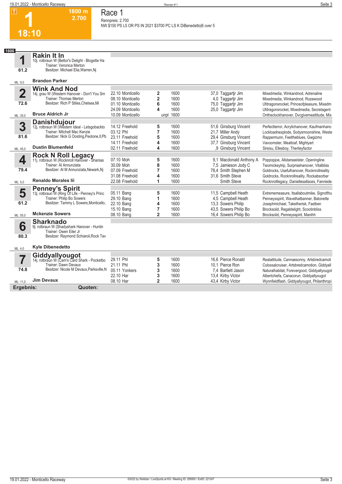**NW \$150 PS L5 OR PS IN 2021 \$3700 PC LS K DiBenedetto|6 over 5** 

**1 18:10**

**1 1600**

**61.2**

**Rakin It In**

10j. rotbraun W (Bettor's Delight - Blogette Ha Trainer: Veronica Merton Besitzer: Michael Elia,Warren,Nj

**1600 m 2.700** 

**Race 1 Rennpreis: 2.700**

| ML: 9,0                 | <b>Brandon Parker</b>                                                                 |                                      |        |              |                                                |                                                                                          |
|-------------------------|---------------------------------------------------------------------------------------|--------------------------------------|--------|--------------|------------------------------------------------|------------------------------------------------------------------------------------------|
| $\overline{\mathbf{2}}$ | Wink And Nod<br>14j. grau W (Western Hanover - Don't You Sm<br>Trainer: Thomas Merton | 22.10 Monticello<br>08.10 Monticello | 2<br>2 | 1600<br>1600 | 37,0 Taggartir Jim<br>4,0 Taggartjr Jim        | Mixedmedia, Winkandnod, Adrenaline<br>Mixedmedia, Winkandnod, Rozewood                   |
| 72.6                    | Besitzer: Rich P Stiles, Chelsea, Mi                                                  | 01.10 Monticello<br>24.09 Monticello | 6<br>4 | 1600<br>1600 | 75,0 Taggartir Jim<br>25,0 Taggartir Jim       | Ufdragonsrocket, Princeofpleasure, Mixedm<br>Ufdragonsrocket, Mixedmedia, Secretagent    |
| ML: 35,0                | <b>Bruce Aldrich Jr</b>                                                               | 10.09 Monticello                     | unpl   | 1600         |                                                | Ontheclockhanover, Dvcqivemeattitude, Mix                                                |
|                         | <b>Danishdujour</b><br>12j. rotbraun W (Western Ideal - Letsgobackto                  |                                      |        |              |                                                |                                                                                          |
| 3                       | Trainer: Mitchell Mac Kenzie                                                          | 14.12 Freehold<br>03.12 Phl          | 5<br>7 | 1600<br>1600 | 51,6 Ginsburg Vincent<br>21,7 Miller Andy      | Perfectterror, Acrylichanover, Kaufmanhano<br>Lockloadnexplode, Sodysmoonshine, Weste    |
| 81.6                    | Besitzer: Nick G Oosting, Peotone, II; Pb                                             | 23.11 Freehold                       | 5      | 1600         | 29,4 Ginsburg Vincent                          | Rappermunn, Feeltheblues, Gwgizmo                                                        |
|                         | <b>Dustin Blumenfeld</b>                                                              | 14.11 Freehold                       | 4      | 1600         | 37,7 Ginsburg Vincent                          | Vavoomster, Meatloaf, Mightyart                                                          |
| ML: 45,0                |                                                                                       | 02.11 Freehold                       | 4      | 1600         | ,9 Ginsburg Vincent                            | Sirsisu, Ellesboy, Therileyfactor                                                        |
|                         | Rock N Roll Legacy<br>11j. rotbraun W (Rocknroll Hanover - Shanias                    |                                      |        |              |                                                |                                                                                          |
| 4                       | Trainer: Al Annunziata                                                                | 07.10 Moh<br>30.09 Moh               | 5<br>8 | 1600<br>1600 | 9,1 Macdonald Anthony A<br>7,5 Jamieson Jody C | Poppopjoe, Allstarseelster, Openingline<br>Twomickeytrip, Surprisehanover, Vitalbliss    |
| 79.4                    | Besitzer: Al M Annunziata, Newark, Nj                                                 | 07.09 Freehold                       | 7      | 1600         | 78,4 Smith Stephen M                           | Goldrocks, Usefulhanover, Rocknrollreality                                               |
|                         |                                                                                       | 31.08 Freehold                       |        | 1600         | 31,6 Smith Steve                               | Goldrocks, Rocknrollreality, Rockabsorber                                                |
| ML: 5,0                 | <b>Renaldo Morales lii</b>                                                            | 22.08 Freehold                       | 1      | 1600         | Smith Steve                                    | Rocknrolllegacy, Daniellesallaces, Fanniede                                              |
|                         | <b>Penney's Spirit</b>                                                                |                                      |        |              |                                                |                                                                                          |
| 5                       | 13j. rotbraun W (Ring Of Life - Penney's Princ                                        | 05.11 Bang                           | 5      | 1600         | 11,5 Campbell Heath                            | Extrememeasure, Itsallaboutmike, Signofthu                                               |
|                         | Trainer: Philip Bo Sowers                                                             | 29.10 Bang                           |        | 1600         | 4.5 Campbell Heath                             | Penneysspirit, Wavethatbanner, Batonette                                                 |
| 61.2                    | Besitzer: Tammy L Sowers, Monticello,                                                 | 22.10 Bang                           |        | 1600         | 13.3 Sowers Philip                             | Josephmichael, Taketherisk, Fastben                                                      |
| ML: 55,0                | <b>Mckenzie Sowers</b>                                                                | 15.10 Bang<br>08.10 Bang             | 7<br>2 | 1600<br>1600 | 43.5 Sowers Philip Bo<br>16,4 Sowers Philip Bo | Brocksolid, Regaldelight, Scootinbliss<br>Brocksolid, Penneysspirit, Manihh              |
|                         |                                                                                       |                                      |        |              |                                                |                                                                                          |
| 6                       | <b>Sharknado</b><br>9j. rotbraun W (Shadyshark Hanover - Huntin                       |                                      |        |              |                                                |                                                                                          |
|                         | Trainer: Owen Eiler Jr                                                                |                                      |        |              |                                                |                                                                                          |
| 80.3                    | Besitzer: Raymond Schiaroli, Rock Tav                                                 |                                      |        |              |                                                |                                                                                          |
| ML: 4,0                 | <b>Kyle Dibenedetto</b>                                                               |                                      |        |              |                                                |                                                                                          |
|                         | <b>Giddyallyougot</b><br>14j. rotbraun W (Cam's Card Shark - Pocketbo                 |                                      |        |              |                                                |                                                                                          |
| 7                       | Trainer: Dawn Devaux                                                                  | 29.11 Phl<br>21.11 Phl               | 5<br>3 | 1600<br>1600 | 16.6 Pierce Ronald<br>10,1 Pierce Ron          | Realattitude, Cannaesonny, Artsbredcamoti<br>Colossalcruiser, Artsbredcamotion, Giddyall |
| 74.8                    | Besitzer: Nicole M Devaux, Parksville, N                                              | 05.11 Yonkers                        | 3      | 1600         | 7,4 Bartlett Jason                             | Naturalhabitat, Forevergood, Giddyallyougot                                              |
|                         |                                                                                       | 22.10 Har                            | 3      | 1600         | 13,4 Kirby Victor                              | Albertchiefa, Canacorun, Giddyallyougot                                                  |
| ML: 11,0                | <b>Jim Devaux</b>                                                                     | 08.10 Har                            | 2      | 1600         | 43,4 Kirby Victor                              | Wynnfieldflash, Giddyallyougot, Philanthropi                                             |
| Ergebnis:               | Quoten:                                                                               |                                      |        |              |                                                |                                                                                          |
|                         |                                                                                       |                                      |        |              |                                                |                                                                                          |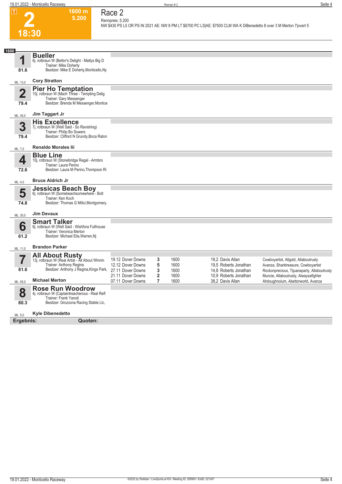



### **1600 m 5.200 Race 2 Rennpreis: 5.200**

**NW \$430 PS L5 OR PS IN 2021 AE: NW 8 PM LT \$6700 PC LS|AE: \$7500 CLM WA K DiBenedetto 8 over 3 M Merton 7|overt 5** 

| 1600                   |                                                                                                                                               |                                                             |                                  |                      |                                                                    |                                                                                                                            |
|------------------------|-----------------------------------------------------------------------------------------------------------------------------------------------|-------------------------------------------------------------|----------------------------------|----------------------|--------------------------------------------------------------------|----------------------------------------------------------------------------------------------------------------------------|
|                        | <b>Bueller</b><br>6j. rotbraun W (Bettor's Delight - Mattys Big D<br>Trainer: Mike Doherty                                                    |                                                             |                                  |                      |                                                                    |                                                                                                                            |
| 81.6                   | Besitzer: Mike E Doherty, Monticello, Ny                                                                                                      |                                                             |                                  |                      |                                                                    |                                                                                                                            |
| ML: 13,0               | <b>Cory Stratton</b>                                                                                                                          |                                                             |                                  |                      |                                                                    |                                                                                                                            |
| $\overline{2}$<br>79.4 | <b>Pier Ho Temptation</b><br>10j. rotbraun W (Mach Three - Tempting Delig<br>Trainer: Gary Messenger<br>Besitzer: Brenda M Messenger, Montice |                                                             |                                  |                      |                                                                    |                                                                                                                            |
| ML: 45,0               | Jim Taggart Jr                                                                                                                                |                                                             |                                  |                      |                                                                    |                                                                                                                            |
| 3<br>79.4              | <b>His Excellence</b><br>7j. rotbraun W (Well Said - So Ravishing)<br>Trainer: Philip Bo Sowers<br>Besitzer: Clifford N Grundy, Boca Raton    |                                                             |                                  |                      |                                                                    |                                                                                                                            |
| ML: 7,0                | <b>Renaldo Morales lii</b>                                                                                                                    |                                                             |                                  |                      |                                                                    |                                                                                                                            |
| 4                      | <b>Blue Line</b><br>10j. rotbraun W (Stonebridge Regal - Armbro                                                                               |                                                             |                                  |                      |                                                                    |                                                                                                                            |
| 72.6                   | Trainer: Laura Perino<br>Besitzer: Laura M Perino, Thompson Ri                                                                                |                                                             |                                  |                      |                                                                    |                                                                                                                            |
| ML: 4,0                | <b>Bruce Aldrich Jr</b>                                                                                                                       |                                                             |                                  |                      |                                                                    |                                                                                                                            |
| 5<br>74.8              | <b>Jessicas Beach Boy</b><br>6j. rotbraun W (Somebeachsomewhere - Bolt<br>Trainer: Ken Koch<br>Besitzer: Thomas G Milici, Montgomery,         |                                                             |                                  |                      |                                                                    |                                                                                                                            |
| ML: 35,0               | <b>Jim Devaux</b>                                                                                                                             |                                                             |                                  |                      |                                                                    |                                                                                                                            |
| 6<br>61.2              | <b>Smart Talker</b><br>6j. rotbraun W (Well Said - Wishfora Fullhouse<br>Trainer: Veronica Merton<br>Besitzer: Michael Elia, Warren, Nj       |                                                             |                                  |                      |                                                                    |                                                                                                                            |
| ML: 11,0               | <b>Brandon Parker</b>                                                                                                                         |                                                             |                                  |                      |                                                                    |                                                                                                                            |
| 81.6                   | All About Rusty<br>13j. rotbraun W (Real Artist - All About Winnin<br>Trainer: Anthony Regina<br>Besitzer: Anthony J Regina, Kings Park,      | 19.12 Dover Downs<br>12.12 Dover Downs<br>27.11 Dover Downs | 3<br>5<br>3                      | 1600<br>1600<br>1600 | 19.2 Davis Allan<br>19,5 Roberts Jonathan<br>14.8 Roberts Jonathan | Cowboyartist, Allgold, Allaboutrusty<br>Avanza, Sharktreasure, Cowboyartist<br>Rockonprecious, Tijuanaparty, Allaboutrusty |
| ML: 55,0               | <b>Michael Merton</b>                                                                                                                         | 21.11 Dover Downs<br>07.11 Dover Downs                      | $\overline{2}$<br>$\overline{7}$ | 1600<br>1600         | 10.9 Roberts Jonathan<br>38,2 Davis Allan                          | Muncie, Allaboutrusty, Alwaysafighter<br>Ahdoughnolum, Abettorworld, Avanza                                                |
| 8<br>80.3              | <b>Rose Run Woodrow</b><br>4j. rotbraun W (Captaintreacherous - Real Refl<br>Trainer: Frank Yanoti<br>Besitzer: Grozcona Racing Stable Llc,   |                                                             |                                  |                      |                                                                    |                                                                                                                            |
| ML: 5,0                | <b>Kyle Dibenedetto</b>                                                                                                                       |                                                             |                                  |                      |                                                                    |                                                                                                                            |
| Ergebnis:              | Quoten:                                                                                                                                       |                                                             |                                  |                      |                                                                    |                                                                                                                            |
|                        |                                                                                                                                               |                                                             |                                  |                      |                                                                    |                                                                                                                            |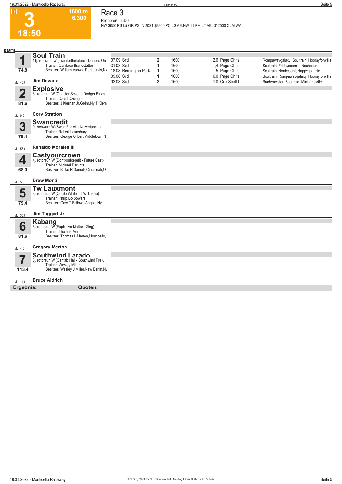

### **Race 3 Rennpreis: 6.300**

**1600 m 6.300** 

**NW \$650 PS L5 OR PS IN 2021 \$8800 PC LS AE:NW 11 PM LT|AE: \$12500 CLM WA** 

| 1600                    |                                                                                                                                                 |                        |                |              |                                 |                                                                                  |
|-------------------------|-------------------------------------------------------------------------------------------------------------------------------------------------|------------------------|----------------|--------------|---------------------------------|----------------------------------------------------------------------------------|
|                         | <b>Soul Train</b>                                                                                                                               |                        |                |              |                                 |                                                                                  |
| 1                       | 11j. rotbraun W (Trainforthefuture - Dances On<br>Trainer: Candace Brandstatter                                                                 | 07.09 Scd<br>31.08 Scd | 2<br>1         | 1600<br>1600 | 2.6 Page Chris<br>,4 Page Chris | Rompawaygalaxy, Soultrain, Hoorayforwillie<br>Soultrain, Fridayscomin, Noahcount |
| 74.8                    | Besitzer: William Vanwie, Port Jervis, Ny                                                                                                       | 18.08 Remington Park   | 1              | 1600         | ,5 Page Chris                   | Soultrain, Noahcount, Happygojamie                                               |
|                         |                                                                                                                                                 | 09.08 Scd              | 1              | 1600         | 6,0 Page Chris                  | Soultrain, Rompawaygalaxy, Hoorayforwillie                                       |
| ML: 45,0                | <b>Jim Devaux</b>                                                                                                                               | 02.08 Scd              | $\overline{2}$ | 1600         | 1.0 Cox Scott L                 | Bradymeister, Soultrain, Minisaristotle                                          |
| $\overline{\mathbf{2}}$ | <b>Explosive</b><br>8j. rotbraun W (Chapter Seven - Dodger Blues<br>Trainer: David Dziengiel                                                    |                        |                |              |                                 |                                                                                  |
| 81.6                    | Besitzer: J Kiernan Jr, Grdnr, Ny; T Kiern                                                                                                      |                        |                |              |                                 |                                                                                  |
| ML: 9,0                 | <b>Cory Stratton</b>                                                                                                                            |                        |                |              |                                 |                                                                                  |
| 3<br>79.4               | <b>Swancredit</b><br>9j. schwarz W (Swan For All - Nowerland Light<br>Trainer: Robert Lounsbury<br>Besitzer: George Gilbert, Middletown, N      |                        |                |              |                                 |                                                                                  |
| ML: 55,0                | <b>Renaldo Morales lii</b>                                                                                                                      |                        |                |              |                                 |                                                                                  |
| 4<br>68.0               | Castyourcrown<br>4j. rotbraun W (Dontyouforgetit - Future Cast)<br><b>Trainer: Michael Deruntz</b><br>Besitzer: Blake R Daniels, Cincinnati, O  |                        |                |              |                                 |                                                                                  |
| ML: 5,0                 | <b>Drew Monti</b>                                                                                                                               |                        |                |              |                                 |                                                                                  |
| 5<br>79.4               | <b>Tw Lauxmont</b><br>8j. rotbraun W (Oh So White - T W Tussie)<br>Trainer: Philip Bo Sowers<br>Besitzer: Gary T Ballowe, Angola, Ny            |                        |                |              |                                 |                                                                                  |
| ML: 35,0                | Jim Taggart Jr                                                                                                                                  |                        |                |              |                                 |                                                                                  |
| 6                       | <b>Kabang</b><br>8j. rotbraun W (Explosive Matter - Zing)<br>Trainer: Thomas Merton                                                             |                        |                |              |                                 |                                                                                  |
| 81.6                    | Besitzer: Thomas L Merton, Monticello,                                                                                                          |                        |                |              |                                 |                                                                                  |
| ML: 4,0                 | <b>Gregory Merton</b>                                                                                                                           |                        |                |              |                                 |                                                                                  |
| 7<br>113.4              | <b>Southwind Larado</b><br>8j. rotbraun W (Cantab Hall - Southwind Prelu<br>Trainer: Wesley Miller<br>Besitzer: Wesley J Miller, New Berlin, Ny |                        |                |              |                                 |                                                                                  |
| ML: 11,0                | <b>Bruce Aldrich</b>                                                                                                                            |                        |                |              |                                 |                                                                                  |
| Ergebnis:               | Quoten:                                                                                                                                         |                        |                |              |                                 |                                                                                  |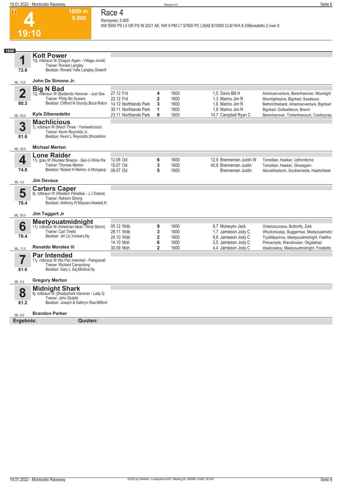

#### **1600 m 5.900 Race 4 Rennpreis: 5.900**

**NW \$500 PS L5 OR PS IN 2021 AE: NW 9 PM LT \$7800 PC LS|AE:\$10000 CLM W/A K DiBenedetto 2 over 8** 

| 1600                |                                                                                                                                                                     |                                                               |                                                 |                                      |                                                                                                               |                                                                                                                                                                                                                |
|---------------------|---------------------------------------------------------------------------------------------------------------------------------------------------------------------|---------------------------------------------------------------|-------------------------------------------------|--------------------------------------|---------------------------------------------------------------------------------------------------------------|----------------------------------------------------------------------------------------------------------------------------------------------------------------------------------------------------------------|
| 1<br>72.6           | <b>Kolt Power</b><br>10j. rotbraun W (Dragon Again - Village Jovial)<br>Trainer: Ronald Langley<br>Besitzer: Ronald Valle Langley, Greenfi                          |                                                               |                                                 |                                      |                                                                                                               |                                                                                                                                                                                                                |
| ML: 13.0            | John De Simone Jr.                                                                                                                                                  |                                                               |                                                 |                                      |                                                                                                               |                                                                                                                                                                                                                |
| $\mathbf 2$<br>80.3 | <b>Big N Bad</b><br>12j. rotbraun W (Badlands Hanover - Just Sas<br>Trainer: Philip Bo Sowers<br>Besitzer: Clifford N Grundy, Boca Raton                            | 27.12 Frd<br>22.12 Frd<br>14.12 Northlands Park               | 4<br>$\overline{2}$<br>3                        | 1600<br>1600<br>1600                 | 1.5 Davis Bill H<br>1.3 Marino Jim R<br>1,6 Marino Jim R                                                      | Americanventure, Berenhanover, Moonlight<br>Moonlightspice, Bignbad, Seadeuce<br>Bettorinthebank, Americanventure, Bignbad                                                                                     |
| ML: 45,0            | <b>Kyle Dibenedetto</b>                                                                                                                                             | 30.11 Northlands Park<br>23.11 Northlands Park                | 1<br>9                                          | 1600<br>1600                         | 1,9 Marino Jim R<br>14,7 Campbell Ryan C                                                                      | Bignbad, Outlawfalcon, Brenin<br>Berenhanover, Timberlinecourt, Cowboycap                                                                                                                                      |
| 3<br>81.6           | <b>Machlicious</b><br>7j. rotbraun W (Mach Three - Yankeelicious)<br>Trainer: Kevin Reynolds Jr.<br>Besitzer: Kevin L Reynolds, Shickshinn                          |                                                               |                                                 |                                      |                                                                                                               |                                                                                                                                                                                                                |
| ML: 35,0            | <b>Michael Merton</b>                                                                                                                                               |                                                               |                                                 |                                      |                                                                                                               |                                                                                                                                                                                                                |
| 4<br>74.8           | <b>Lone Raider</b><br>11j. grau W (Nuclear Breeze - Gen-U-Wine Ra<br>Trainer: Thomas Merton<br>Besitzer: Robert H Merton Jr, Mongaup                                | 12.08 Od<br>15.07 Od<br>08.07 Od                              | 6<br>3<br>5                                     | 1600<br>1600<br>1600                 | 12.9 Brenneman Justin W<br>40.8 Brenneman Justin<br>Brenneman Justin                                          | Tomstitan, Hawker, Upfrontlorne<br>Tomstitan, Hawker, Glowagain-<br>Abovethestorm, Southernartie, Heartofsteel                                                                                                 |
| ML: 4,0             | <b>Jim Devaux</b>                                                                                                                                                   |                                                               |                                                 |                                      |                                                                                                               |                                                                                                                                                                                                                |
| 5<br>79.4           | <b>Carters Caper</b><br>8j. rotbraun W (Western Paradise - J J Solara)<br>Trainer: Raheim Strong<br>Besitzer: Anthony R Mazzeo, Hewlett, N                          |                                                               |                                                 |                                      |                                                                                                               |                                                                                                                                                                                                                |
| ML: 55,0            | Jim Taggart Jr                                                                                                                                                      |                                                               |                                                 |                                      |                                                                                                               |                                                                                                                                                                                                                |
| 6<br>79.4           | <b>Meetyouatmidnight</b><br>11j. rotbraun W (American Ideal - Wind Storm)<br>Trainer: Carl Tirella<br>Besitzer: Jlrl Llc, Yonkers, Ny<br><b>Renaldo Morales lii</b> | 05.12 Wdb<br>28.11 Wdb<br>24.10 Wdb<br>14.10 Moh<br>30.09 Moh | 9<br>3<br>$\overline{2}$<br>6<br>$\overline{2}$ | 1600<br>1600<br>1600<br>1600<br>1600 | 9,7 Moiseyev Jack<br>1,7 Jamieson Jody C<br>8.8 Jamieson Jody C<br>2,5 Jamieson Jody C<br>4,4 Jamieson Jody C | Ontariosuccess, Buttonfly, Zark<br>Whydontustay, Buggermax, Meetyouatmidni<br>Tryslittleprince, Meetyouatmidnight, Feelthe<br>Princeclyde, Wacobruiser, Okgalahad<br>Idealcowboy, Meetyouatmidnight, Forabetto |
| ML: 11,0<br>81.6    | <b>Par Intended</b><br>11j. rotbraun W (No Pan Intended - Parapanali<br>Trainer: Richard Campolong<br>Besitzer: Gary L Saj, Medina, Ny                              |                                                               |                                                 |                                      |                                                                                                               |                                                                                                                                                                                                                |
| ML: 5,0             | <b>Gregory Merton</b>                                                                                                                                               |                                                               |                                                 |                                      |                                                                                                               |                                                                                                                                                                                                                |
| 8<br>61.2           | <b>Midnight Shark</b><br>9j. rotbraun W (Shadyshark Hanover - Lady Q<br>Trainer: John Stubits<br>Besitzer: Joseph & Kathryn Rea, Milford                            |                                                               |                                                 |                                      |                                                                                                               |                                                                                                                                                                                                                |
| ML: 9,0             | <b>Brandon Parker</b>                                                                                                                                               |                                                               |                                                 |                                      |                                                                                                               |                                                                                                                                                                                                                |
| Ergebnis:           | Quoten:                                                                                                                                                             |                                                               |                                                 |                                      |                                                                                                               |                                                                                                                                                                                                                |
|                     |                                                                                                                                                                     |                                                               |                                                 |                                      |                                                                                                               |                                                                                                                                                                                                                |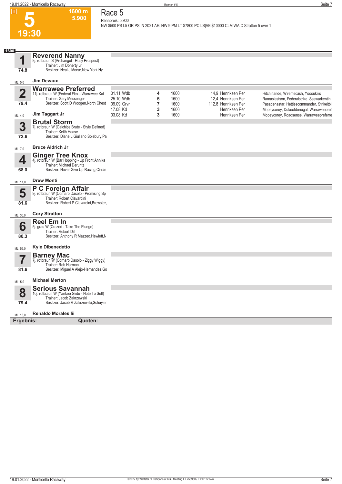**1600 m 5.900** 

**Race 5 Rennpreis: 5.900**

**NW \$500 PS L5 OR PS IN 2021 AE: NW 9 PM LT \$7800 PC LS|AE:\$10000 CLM WA C Stratton 5 over 1** 



| 1600            |                                                                                                                                                 |                                    |             |                      |                                                       |                                                                                                                                  |
|-----------------|-------------------------------------------------------------------------------------------------------------------------------------------------|------------------------------------|-------------|----------------------|-------------------------------------------------------|----------------------------------------------------------------------------------------------------------------------------------|
| 4               | Reverend Nanny<br>8j. rotbraun S (Archangel - Rosy Prospect)<br>Trainer: Jim Doherty Jr                                                         |                                    |             |                      |                                                       |                                                                                                                                  |
| 74.8            | Besitzer: Neal J Morse, New York, Ny                                                                                                            |                                    |             |                      |                                                       |                                                                                                                                  |
| ML: 5,0         | <b>Jim Devaux</b>                                                                                                                               |                                    |             |                      |                                                       |                                                                                                                                  |
| $\mathbf{2}$    | <b>Warrawee Preferred</b><br>11j. rotbraun W (Federal Flex - Warrawee Kat<br>Trainer: Gary Messenger                                            | 01.11 Wdb<br>25.10 Wdb             | 4<br>5      | 1600<br>1600         | 14.9 Henriksen Per<br>12,4 Henriksen Per              | Hitchinaride, Wiremecash, Yoooukilis<br>Ramaslastson, Federalstrike, Saswarkentin                                                |
| 79.4<br>ML: 4,0 | Besitzer: Scott D Woogen, North Chest<br>Jim Taggart Jr                                                                                         | 09.09 Grvr<br>17.08 Kd<br>03.08 Kd | 7<br>3<br>3 | 1600<br>1600<br>1600 | 112,8 Henriksen Per<br>Henriksen Per<br>Henriksen Per | Pasadenastar, Hettiescommander, Strikeitbi<br>Mopeycorey, Dukeofdonegal, Warraweepref<br>Mopeycorey, Roadsense, Warraweepreferre |
| 3<br>72.6       | <b>Brutal Storm</b><br>7j. rotbraun W (Calchips Brute - Style Defined)<br>Trainer: Keith Haase<br>Besitzer: Diane L Giuliano, Solebury, Pa      |                                    |             |                      |                                                       |                                                                                                                                  |
| ML: 7,0         | <b>Bruce Aldrich Jr</b>                                                                                                                         |                                    |             |                      |                                                       |                                                                                                                                  |
| 4               | <b>Ginger Tree Knox</b><br>4j. rotbraun W (Bar Hopping - Up Front Annika<br>Trainer: Michael Deruntz<br>Besitzer: Never Give Up Racing, Cincin  |                                    |             |                      |                                                       |                                                                                                                                  |
| 68.0            |                                                                                                                                                 |                                    |             |                      |                                                       |                                                                                                                                  |
| ML: 11,0        | <b>Drew Monti</b>                                                                                                                               |                                    |             |                      |                                                       |                                                                                                                                  |
| 5<br>81.6       | P C Foreign Affair<br>9j. rotbraun W (Cornaro Dasolo - Promising Sp<br>Trainer: Robert Ciavardini<br>Besitzer: Robert P Ciavardini, Brewster,   |                                    |             |                      |                                                       |                                                                                                                                  |
| ML: 35,0        | <b>Cory Stratton</b>                                                                                                                            |                                    |             |                      |                                                       |                                                                                                                                  |
| 6<br>80.3       | <b>Reel Em In</b><br>5j. grau W (Crazed - Take The Plunge)<br>Trainer: Robert Dill<br>Besitzer: Anthony R Mazzeo, Hewlett, N                    |                                    |             |                      |                                                       |                                                                                                                                  |
| ML: 55,0        | <b>Kyle Dibenedetto</b>                                                                                                                         |                                    |             |                      |                                                       |                                                                                                                                  |
| 81.6            | <b>Barney Mac</b><br>7j. rotbraun W (Cornaro Dasolo - Ziggy Wiggy)<br>Trainer: Rob Harmon<br>Besitzer: Miguel A Alejo-Hernandez, Go             |                                    |             |                      |                                                       |                                                                                                                                  |
| ML: 5,0         | <b>Michael Merton</b>                                                                                                                           |                                    |             |                      |                                                       |                                                                                                                                  |
| 8<br>79.4       | <b>Serious Savannah</b><br>10j. rotbraun W (Yankee Glide - Note To Self)<br>Trainer: Jacob Zakrzewski<br>Besitzer: Jacob R Zakrzewski, Schuyler |                                    |             |                      |                                                       |                                                                                                                                  |
| ML: 13,0        | <b>Renaldo Morales lii</b>                                                                                                                      |                                    |             |                      |                                                       |                                                                                                                                  |
| Ergebnis:       | Quoten:                                                                                                                                         |                                    |             |                      |                                                       |                                                                                                                                  |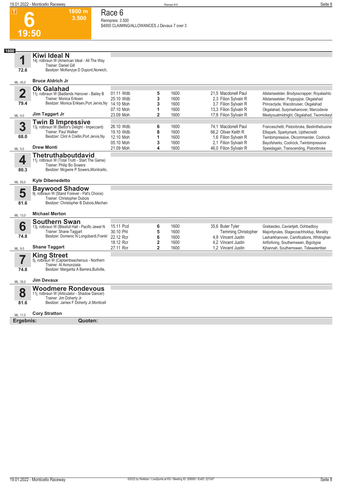**1600 m 3.500** 

## **Race 6**

**Rennpreis: 3.500 \$4000 CLAIMING/ALLOWANCES J Devaux 7 over 3** 

**1**

**72.6**

**6**

**19:50**

**Kiwi Ideal N**

14j. rotbraun W (American Ideal - All The Way Trainer: Daniel Gill

Besitzer: McKenzye D Dupont,Norwich,

#### ML: 45,0 **Bruce Aldrich Jr**

| Λ       | <b>Ok Galahad</b>                                                          |           |   |      |                       |                                             |
|---------|----------------------------------------------------------------------------|-----------|---|------|-----------------------|---------------------------------------------|
|         | 11j. rotbraun W (Badlands Hanover - Bailey B                               | 01.11 Wdb | 5 | 1600 | 21.5 Macdonell Paul   | Allstarseelster, Brodysscrapper, Royalashto |
|         | Trainer: Monica Eriksen                                                    | 25.10 Wdb | 3 | 1600 | 2.3 Filion Sylvain R  | Allstarseelster, Poppopioe, Okgalahad       |
| 79.4    | Besitzer: Monica Eriksen, Port Jervis, Ny                                  | 14.10 Moh | 3 | 1600 | 3.7 Filion Sylvain R  | Princeclyde, Wacobruiser, Okgalahad         |
|         |                                                                            | 07.10 Moh |   | 1600 | 13,3 Filion Sylvain R | Okgalahad, Surprisehanover, Marcodevie      |
| ML: 4,0 | Jim Taggart Jr                                                             | 23.09 Moh |   | 1600 | 17,8 Filion Sylvain R | Meetyouatmidnight, Okgalahad, Twomickeyt    |
|         |                                                                            |           |   |      |                       |                                             |
| 3       | <b>Twin B Impressive</b><br>13j. rotbraun W (Bettor's Delight - Impeccant) | 26.10 Wdb | 6 | 1600 | 74.1 Macdonell Paul   | Franceschetti, Pistonbroke, Bestinthebusine |
|         | Trainer: Paul Walker                                                       | 19.10 Wdb | 8 | 1600 | 66.2 Oliver Keith R   | Ellispark, Sparkymark, Upthecredit          |
| 68.0    | Besitzer: Clint A Crellin, Port Jervis, Ny                                 | 12.10 Moh |   | 1600 | 1.6 Filion Sylvain R  | Twinbimpressive, Okcommander, Coolrock      |
|         |                                                                            | 05.10 Moh | 3 | 1600 | 2.1 Filion Sylvain R  | Bayofsharks, Coolrock, Twinbimpressive      |
| ML: 5,0 | <b>Drew Monti</b>                                                          | 21.09 Moh | 4 | 1600 | 46,0 Filion Sylvain R | Speedagain, Transcending, Pistonbroke       |
|         | Thetruthaboutdavid                                                         |           |   |      |                       |                                             |
| 4       | 11j. rotbraun W (Total Truth - Start The Game)                             |           |   |      |                       |                                             |
|         | Trainer: Philin Ro Sowers                                                  |           |   |      |                       |                                             |

Trainer: Philip Bo Sowers Besitzer: Mcgwire P Sowers,Monticello,

### ML: 55,0 **Kyle Dibenedetto**

**80.3**

**5**

**81.6**

| <b>Baywood Shadow</b>                         |
|-----------------------------------------------|
| 9j. rotbraun W (Stand Forever - Pat's Choice) |
| Trainer: Christopher Dubois                   |

Besitzer: Christopher B Dubois,Mechan

#### ML: 13,0 **Michael Merton**

|         | <b>Southern Swan</b>                                                    |           |      |                            |                                           |
|---------|-------------------------------------------------------------------------|-----------|------|----------------------------|-------------------------------------------|
|         | 13j. rotbraun W (Blissfull Hall - Pacific Jewel N                       | 15.11 Pcd | 1600 | 35,6 Buter Tyler           | Gratiasdeo, Caviartiett, Oohbadboy        |
|         | Trainer: Shane Taggart                                                  | 30.10 Phl | 1600 | <b>Temming Christopher</b> | Majorityrules, Stagecoachholdup, Morality |
| 74.8    | Besitzer: Domenic N Longobardi, Frankl                                  | 22.12 Rcr | 1600 | 4.9 Vincent Justin         | Lasharkhanover, Camifications, Whitinghan |
|         |                                                                         | 18.12 Rcr | 1600 | 4.2 Vincent Justin         | Artforliving, Southernswan, Bigcityjoe    |
| ML: 9.0 | <b>Shane Taggart</b>                                                    | 27.11 Rcr | 1600 | 1.2 Vincent Justin         | Kihannah, Southernswan, Tidewatertitan    |
|         | <b>King Street</b>                                                      |           |      |                            |                                           |
|         | 5j. rotbraun W (Captaintreacherous - Northern<br>Trainer: Al Annunziata |           |      |                            |                                           |

5j. rotbraun W (Captaintreacherous - Northern Trainer: Al Annunziata Besitzer: Margarita A Barrera,Bullville,

#### ML: 35,0 **Jim Devaux**

|   | <b>Woodmere Rondevous</b>                     |
|---|-----------------------------------------------|
| 8 | 11j. rotbraun W (Articulator - Shadow Dancer) |
|   | والمتسمع والمسالي والمستحدث                   |

11j. rotbraun W (Articulator - Shadow Dancer)

Trainer: Jim Doherty Jr Besitzer: James F Doherty Jr,Monticell

#### ML: 11,0 **Cory Stratton**

**Ergebnis: Quoten:**

**81.6**

**74.8**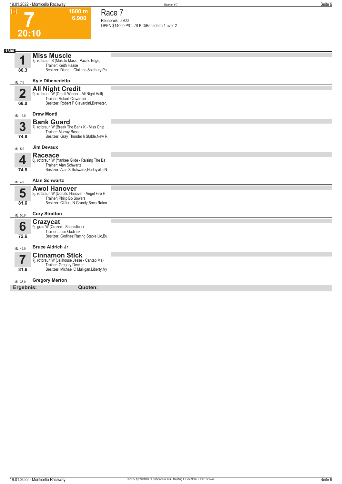**1600 m 6.900**  **Race 7 Rennpreis: 6.900**

| ۳ |  |
|---|--|

|                         |                                                                               | OPEN \$14000 P/C L/S K DiBenedetto 1 over 2 |
|-------------------------|-------------------------------------------------------------------------------|---------------------------------------------|
| 20:10                   |                                                                               |                                             |
|                         |                                                                               |                                             |
| 1600                    | <b>Miss Muscle</b>                                                            |                                             |
| 1                       | 7j. rotbraun S (Muscle Mass - Pacific Edge)                                   |                                             |
| 80.3                    | Trainer: Keith Haase<br>Besitzer: Diane L Giuliano, Solebury, Pa              |                                             |
|                         |                                                                               |                                             |
| ML: 7,0                 | <b>Kyle Dibenedetto</b>                                                       |                                             |
| $\overline{\mathbf{2}}$ | All Night Credit<br>9j. rotbraun W (Credit Winner - All Night Hall)           |                                             |
|                         | Trainer: Robert Ciavardini                                                    |                                             |
| 68.0                    | Besitzer: Robert P Ciavardini, Brewster,                                      |                                             |
|                         | <b>Drew Monti</b>                                                             |                                             |
| ML: 11,0                | <b>Bank Guard</b>                                                             |                                             |
| 3                       | 7j. rotbraun W (Break The Bank K - Miss Chip                                  |                                             |
| 74.8                    | Trainer: Murray Bassen<br>Besitzer: Gray Thunder Ii Stable, New R             |                                             |
|                         |                                                                               |                                             |
| ML: 5,0                 | <b>Jim Devaux</b>                                                             |                                             |
|                         | <b>Raceace</b>                                                                |                                             |
| 4                       | 6j. rotbraun W (Yankee Glide - Raising The Ba<br>Trainer: Alan Schwartz       |                                             |
| 74.8                    | Besitzer: Alan S Schwartz, Hurleyville, N                                     |                                             |
|                         |                                                                               |                                             |
| ML: 4,0                 | <b>Alan Schwartz</b>                                                          |                                             |
| 5                       | <b>Awol Hanover</b><br>8j. rotbraun W (Donato Hanover - Angel Fire H          |                                             |
|                         | Trainer: Philip Bo Sowers                                                     |                                             |
| 81.6                    | Besitzer: Clifford N Grundy, Boca Raton                                       |                                             |
| ML: 55,0                | <b>Cory Stratton</b>                                                          |                                             |
|                         |                                                                               |                                             |
| 6                       | <b>Crazycat</b><br>9j. grau W (Crazed - Sophisticat)<br>Trainer: Jose Godinez |                                             |
| 72.6                    | Besitzer: Godinez Racing Stable Llc, Bu                                       |                                             |
|                         |                                                                               |                                             |
| ML: 45,0                | <b>Bruce Aldrich Jr</b>                                                       |                                             |
| $\overline{\mathbf{7}}$ | <b>Cinnamon Stick</b><br>7j. rotbraun W (Jailhouse Jesse - Cantab Me)         |                                             |
|                         | Trainer: Gregory Decker                                                       |                                             |
| 81.6                    | Besitzer: Michael C Mulligan, Liberty, Ny                                     |                                             |
| ML: 35,0                | <b>Gregory Merton</b>                                                         |                                             |
| Ergebnis:               | Quoten:                                                                       |                                             |
|                         |                                                                               |                                             |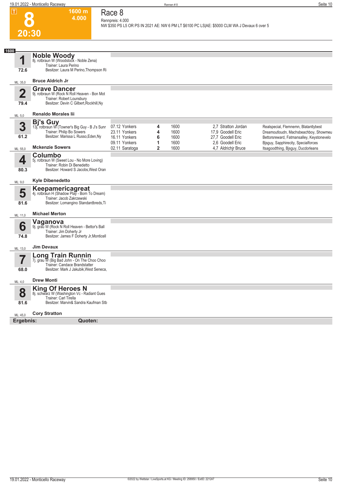| $\boxed{\text{T}}$     | 1600 m<br>4.000                                                                                                                             | Race 8<br>Rennpreis: 4.000                                       |                  |                              |                                                                                              |                                                                                                                            |
|------------------------|---------------------------------------------------------------------------------------------------------------------------------------------|------------------------------------------------------------------|------------------|------------------------------|----------------------------------------------------------------------------------------------|----------------------------------------------------------------------------------------------------------------------------|
| 20:30                  |                                                                                                                                             |                                                                  |                  |                              | NW \$350 PS L5 OR PS IN 2021 AE: NW 6 PM LT \$6100 PC LS AE: \$5000 CLM WA J Devaux 6 over 5 |                                                                                                                            |
| 1600                   |                                                                                                                                             |                                                                  |                  |                              |                                                                                              |                                                                                                                            |
| 1                      | <b>Noble Woody</b><br>8j. rotbraun W (Woodstock - Noble Zena)<br>Trainer: Laura Perino                                                      |                                                                  |                  |                              |                                                                                              |                                                                                                                            |
| 72.6                   | Besitzer: Laura M Perino, Thompson Ri                                                                                                       |                                                                  |                  |                              |                                                                                              |                                                                                                                            |
| ML: 35,0               | <b>Bruce Aldrich Jr</b>                                                                                                                     |                                                                  |                  |                              |                                                                                              |                                                                                                                            |
| $\overline{2}$<br>79.4 | <b>Grave Dancer</b><br>9j. rotbraun W (Rock N Roll Heaven - Bon Mot<br>Trainer: Robert Lounsbury<br>Besitzer: Devin C Gilbert, Rockhill, Ny |                                                                  |                  |                              |                                                                                              |                                                                                                                            |
| ML: 5,0                | <b>Renaldo Morales lii</b>                                                                                                                  |                                                                  |                  |                              |                                                                                              |                                                                                                                            |
| 3<br>61.2              | <b>Bi's Guy</b><br>13j. rotbraun W (Towner's Big Guy - B J's Sunr<br>Trainer: Philip Bo Sowers<br>Besitzer: Marissa L Russo, Eden, Ny       | 07.12 Yonkers<br>23.11 Yonkers<br>16.11 Yonkers<br>09.11 Yonkers | 4<br>4<br>6<br>1 | 1600<br>1600<br>1600<br>1600 | 2.7 Stratton Jordan<br>17,9 Goodell Eric<br>27,7 Goodell Eric<br>2.6 Goodell Eric            | Realspecial, Flemnemn, Blatantlybest<br>Dreamoutloudn, Machsbeachboy, Showmeu<br>Bettorsreward, Fatmansalley, Keystonevelo |
| ML: 55,0               | <b>Mckenzie Sowers</b>                                                                                                                      | 02.11 Saratoga                                                   | 2                | 1600                         | 4,7 Aldrichir Bruce                                                                          | Bjsguy, Sapphirecity, Specialforces<br>Itsagoodthing, Bisguy, Ducdorleans                                                  |
| 4<br>80.3              | Columbo<br>5j. rotbraun W (Sweet Lou - No More Loving)<br>Trainer: Robin Di Benedetto<br>Besitzer: Howard S Jacobs, West Oran               |                                                                  |                  |                              |                                                                                              |                                                                                                                            |
| ML: 9,0                | <b>Kyle Dibenedetto</b>                                                                                                                     |                                                                  |                  |                              |                                                                                              |                                                                                                                            |
| 5<br>81.6              | Keepamericagreat<br>4j. rotbraun H (Shadow Play - Born To Dream)<br>Trainer: Jacob Zakrzewski<br>Besitzer: Lomangino Standardbreds, Ti      |                                                                  |                  |                              |                                                                                              |                                                                                                                            |
| ML: 11,0               | <b>Michael Merton</b>                                                                                                                       |                                                                  |                  |                              |                                                                                              |                                                                                                                            |
| 6<br>74.8              | Vaganova<br>9j. grau W (Rock N Roll Heaven - Bettor's Ball<br>Trainer: Jim Doherty Jr<br>Besitzer: James F Doherty Jr, Monticell            |                                                                  |                  |                              |                                                                                              |                                                                                                                            |
| ML: 13,0               | <b>Jim Devaux</b>                                                                                                                           |                                                                  |                  |                              |                                                                                              |                                                                                                                            |
| 68.0                   | Long Train Runnin<br>7j. grau W (Big Bad John - On The Choo Choo<br>Trainer: Candace Brandstatter<br>Besitzer: Mark J Jakubik, West Seneca, |                                                                  |                  |                              |                                                                                              |                                                                                                                            |
| ML: 4,0                | <b>Drew Monti</b>                                                                                                                           |                                                                  |                  |                              |                                                                                              |                                                                                                                            |
| 8<br>81.6              | <b>King Of Heroes N</b><br>8j. schwarz W (Washington Vc - Radiant Gues<br>Trainer: Carl Tirella<br>Besitzer: Marvin& Sandra Kaufman Stb     |                                                                  |                  |                              |                                                                                              |                                                                                                                            |
| ML: 45,0               | <b>Cory Stratton</b>                                                                                                                        |                                                                  |                  |                              |                                                                                              |                                                                                                                            |
| Ergebnis:              | Quoten:                                                                                                                                     |                                                                  |                  |                              |                                                                                              |                                                                                                                            |